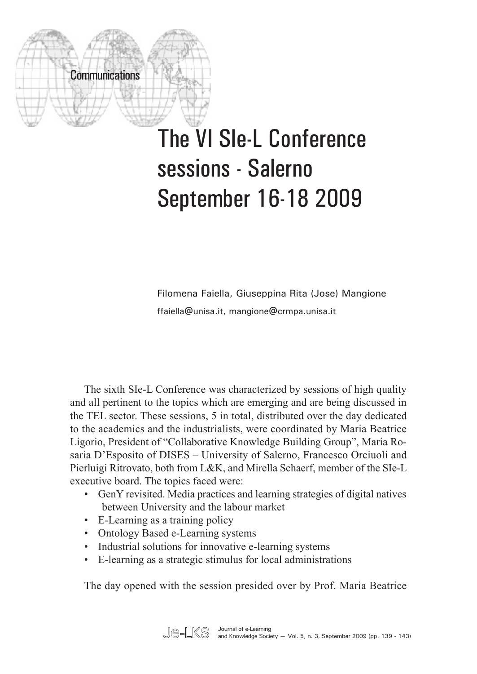

## The VI SIe-L Conference sessions - Salerno September 16-18 2009

Filomena Faiella, Giuseppina Rita (Jose) Mangione ffaiella@unisa.it, mangione@crmpa.unisa.it

The sixth SIe-L Conference was characterized by sessions of high quality and all pertinent to the topics which are emerging and are being discussed in the TEL sector. These sessions, 5 in total, distributed over the day dedicated to the academics and the industrialists, were coordinated by Maria Beatrice Ligorio, President of "Collaborative Knowledge Building Group", Maria Rosaria D'Esposito of DISES – University of Salerno, Francesco Orciuoli and Pierluigi Ritrovato, both from L&K, and Mirella Schaerf, member of the SIe-L executive board. The topics faced were:

- • GenY revisited. Media practices and learning strategies of digital natives between University and the labour market
- E-Learning as a training policy
- Ontology Based e-Learning systems
- Industrial solutions for innovative e-learning systems
- E-learning as a strategic stimulus for local administrations

The day opened with the session presided over by Prof. Maria Beatrice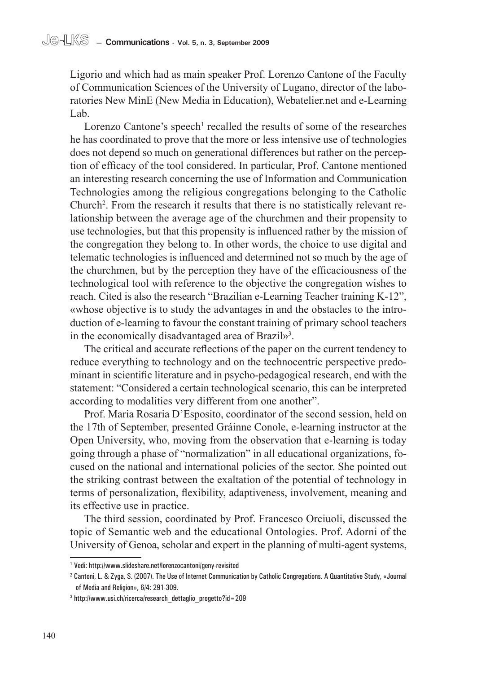Ligorio and which had as main speaker Prof. Lorenzo Cantone of the Faculty of Communication Sciences of the University of Lugano, director of the laboratories New MinE (New Media in Education), Webatelier.net and e-Learning Lab.

Lorenzo Cantone's speech<sup>1</sup> recalled the results of some of the researches he has coordinated to prove that the more or less intensive use of technologies does not depend so much on generational differences but rather on the perception of efficacy of the tool considered. In particular, Prof. Cantone mentioned an interesting research concerning the use of Information and Communication Technologies among the religious congregations belonging to the Catholic Church<sup>2</sup>. From the research it results that there is no statistically relevant relationship between the average age of the churchmen and their propensity to use technologies, but that this propensity is influenced rather by the mission of the congregation they belong to. In other words, the choice to use digital and telematic technologies is influenced and determined not so much by the age of the churchmen, but by the perception they have of the efficaciousness of the technological tool with reference to the objective the congregation wishes to reach. Cited is also the research "Brazilian e-Learning Teacher training K-12", «whose objective is to study the advantages in and the obstacles to the introduction of e-learning to favour the constant training of primary school teachers in the economically disadvantaged area of Brazil»<sup>3</sup>.

The critical and accurate reflections of the paper on the current tendency to reduce everything to technology and on the technocentric perspective predominant in scientific literature and in psycho-pedagogical research, end with the statement: "Considered a certain technological scenario, this can be interpreted according to modalities very different from one another".

Prof. Maria Rosaria D'Esposito, coordinator of the second session, held on the 17th of September, presented Gráinne Conole, e-learning instructor at the Open University, who, moving from the observation that e-learning is today going through a phase of "normalization" in all educational organizations, focused on the national and international policies of the sector. She pointed out the striking contrast between the exaltation of the potential of technology in terms of personalization, flexibility, adaptiveness, involvement, meaning and its effective use in practice.

The third session, coordinated by Prof. Francesco Orciuoli, discussed the topic of Semantic web and the educational Ontologies. Prof. Adorni of the University of Genoa, scholar and expert in the planning of multi-agent systems,

<sup>1</sup> Vedi: http://www.slideshare.net/lorenzocantoni/geny-revisited

<sup>2</sup> Cantoni, L. & Zyga, S. (2007). The Use of Internet Communication by Catholic Congregations. A Quantitative Study, «Journal of Media and Religion», 6/4: 291-309.

<sup>3</sup> http://www.usi.ch/ricerca/research\_dettaglio\_progetto?id=209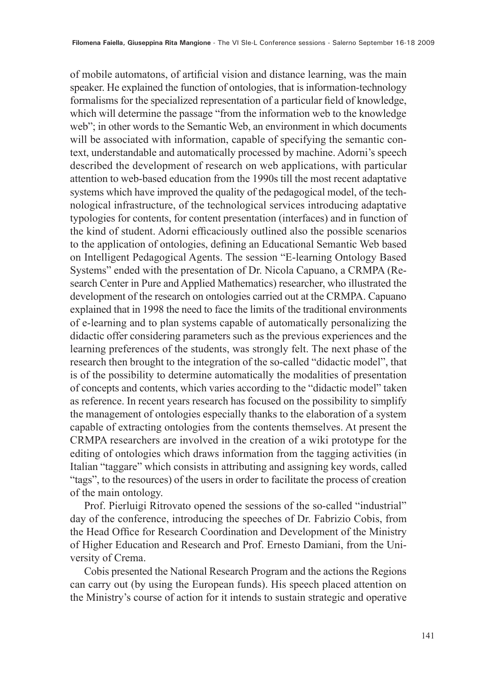of mobile automatons, of artificial vision and distance learning, was the main speaker. He explained the function of ontologies, that is information-technology formalisms for the specialized representation of a particular field of knowledge, which will determine the passage "from the information web to the knowledge" web"; in other words to the Semantic Web, an environment in which documents will be associated with information, capable of specifying the semantic context, understandable and automatically processed by machine. Adorni's speech described the development of research on web applications, with particular attention to web-based education from the 1990s till the most recent adaptative systems which have improved the quality of the pedagogical model, of the technological infrastructure, of the technological services introducing adaptative typologies for contents, for content presentation (interfaces) and in function of the kind of student. Adorni efficaciously outlined also the possible scenarios to the application of ontologies, defining an Educational Semantic Web based on Intelligent Pedagogical Agents. The session "E-learning Ontology Based Systems" ended with the presentation of Dr. Nicola Capuano, a CRMPA (Research Center in Pure and Applied Mathematics) researcher, who illustrated the development of the research on ontologies carried out at the CRMPA. Capuano explained that in 1998 the need to face the limits of the traditional environments of e-learning and to plan systems capable of automatically personalizing the didactic offer considering parameters such as the previous experiences and the learning preferences of the students, was strongly felt. The next phase of the research then brought to the integration of the so-called "didactic model", that is of the possibility to determine automatically the modalities of presentation of concepts and contents, which varies according to the "didactic model" taken as reference. In recent years research has focused on the possibility to simplify the management of ontologies especially thanks to the elaboration of a system capable of extracting ontologies from the contents themselves. At present the CRMPA researchers are involved in the creation of a wiki prototype for the editing of ontologies which draws information from the tagging activities (in Italian "taggare" which consists in attributing and assigning key words, called "tags", to the resources) of the users in order to facilitate the process of creation of the main ontology.

Prof. Pierluigi Ritrovato opened the sessions of the so-called "industrial" day of the conference, introducing the speeches of Dr. Fabrizio Cobis, from the Head Office for Research Coordination and Development of the Ministry of Higher Education and Research and Prof. Ernesto Damiani, from the University of Crema.

Cobis presented the National Research Program and the actions the Regions can carry out (by using the European funds). His speech placed attention on the Ministry's course of action for it intends to sustain strategic and operative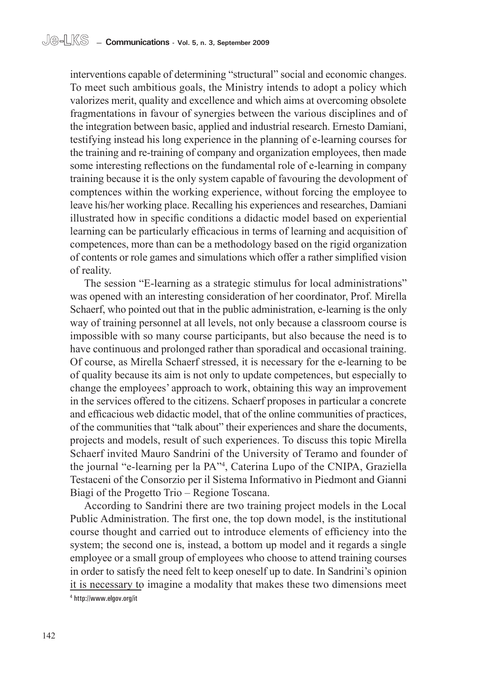interventions capable of determining "structural" social and economic changes. To meet such ambitious goals, the Ministry intends to adopt a policy which valorizes merit, quality and excellence and which aims at overcoming obsolete fragmentations in favour of synergies between the various disciplines and of the integration between basic, applied and industrial research. Ernesto Damiani, testifying instead his long experience in the planning of e-learning courses for the training and re-training of company and organization employees, then made some interesting reflections on the fundamental role of e-learning in company training because it is the only system capable of favouring the devolopment of comptences within the working experience, without forcing the employee to leave his/her working place. Recalling his experiences and researches, Damiani illustrated how in specific conditions a didactic model based on experiential learning can be particularly efficacious in terms of learning and acquisition of competences, more than can be a methodology based on the rigid organization of contents or role games and simulations which offer a rather simplified vision of reality.

The session "E-learning as a strategic stimulus for local administrations" was opened with an interesting consideration of her coordinator, Prof. Mirella Schaerf, who pointed out that in the public administration, e-learning is the only way of training personnel at all levels, not only because a classroom course is impossible with so many course participants, but also because the need is to have continuous and prolonged rather than sporadical and occasional training. Of course, as Mirella Schaerf stressed, it is necessary for the e-learning to be of quality because its aim is not only to update competences, but especially to change the employees' approach to work, obtaining this way an improvement in the services offered to the citizens. Schaerf proposes in particular a concrete and efficacious web didactic model, that of the online communities of practices, of the communities that "talk about" their experiences and share the documents, projects and models, result of such experiences. To discuss this topic Mirella Schaerf invited Mauro Sandrini of the University of Teramo and founder of the journal "e-learning per la PA"4 , Caterina Lupo of the CNIPA, Graziella Testaceni of the Consorzio per il Sistema Informativo in Piedmont and Gianni Biagi of the Progetto Trio – Regione Toscana.

According to Sandrini there are two training project models in the Local Public Administration. The first one, the top down model, is the institutional course thought and carried out to introduce elements of efficiency into the system; the second one is, instead, a bottom up model and it regards a single employee or a small group of employees who choose to attend training courses in order to satisfy the need felt to keep oneself up to date. In Sandrini's opinion it is necessary to imagine a modality that makes these two dimensions meet

<sup>4</sup> http://www.elgov.org/it